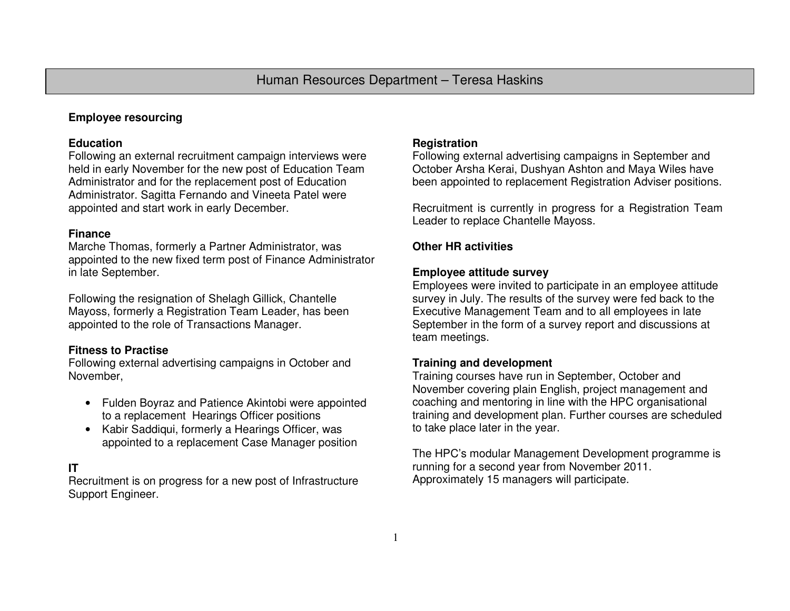### **Employee resourcing**

#### **Education**

 Following an external recruitment campaign interviews were held in early November for the new post of Education Team Administrator and for the replacement post of Education Administrator. Sagitta Fernando and Vineeta Patel were appointed and start work in early December.

### **Finance**

 Marche Thomas, formerly a Partner Administrator, was appointed to the new fixed term post of Finance Administrator in late September.

Following the resignation of Shelagh Gillick, Chantelle Mayoss, formerly a Registration Team Leader, has been appointed to the role of Transactions Manager.

### **Fitness to Practise**

 Following external advertising campaigns in October and November,

- Fulden Boyraz and Patience Akintobi were appointedto a replacement Hearings Officer positions
- Kabir Saddiqui, formerly a Hearings Officer, was appointed to a replacement Case Manager position

# **IT**

 Recruitment is on progress for a new post of Infrastructure Support Engineer.

## **Registration**

 Following external advertising campaigns in September and October Arsha Kerai, Dushyan Ashton and Maya Wiles have been appointed to replacement Registration Adviser positions.

Recruitment is currently in progress for a Registration Team Leader to replace Chantelle Mayoss.

# **Other HR activities**

# **Employee attitude survey**

 Employees were invited to participate in an employee attitude survey in July. The results of the survey were fed back to the Executive Management Team and to all employees in late September in the form of a survey report and discussions at team meetings.

### **Training and development**

 Training courses have run in September, October and November covering plain English, project management and coaching and mentoring in line with the HPC organisational training and development plan. Further courses are scheduled to take place later in the year.

The HPC's modular Management Development programme is running for a second year from November 2011. Approximately 15 managers will participate.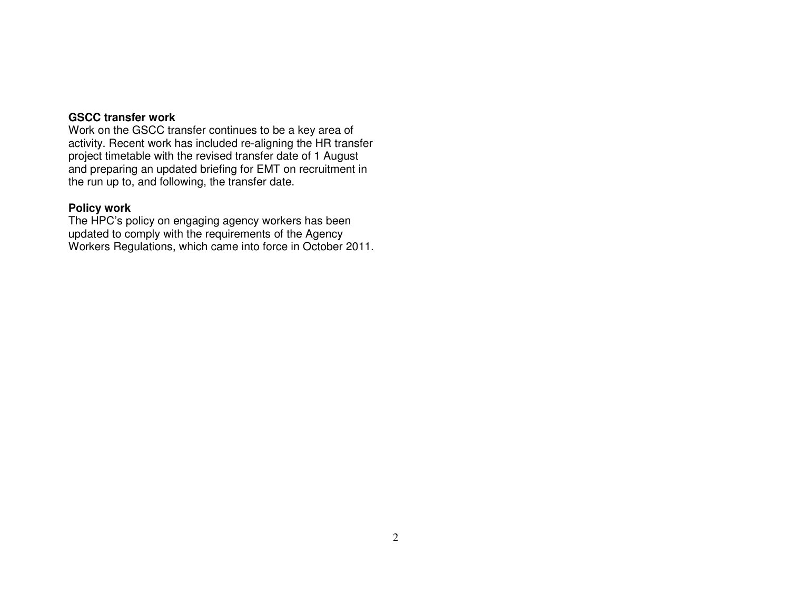### **GSCC transfer work**

 Work on the GSCC transfer continues to be a key area of activity. Recent work has included re-aligning the HR transfer project timetable with the revised transfer date of 1 August and preparing an updated briefing for EMT on recruitment in the run up to, and following, the transfer date.

### **Policy work**

 The HPC's policy on engaging agency workers has been updated to comply with the requirements of the Agency Workers Regulations, which came into force in October 2011.